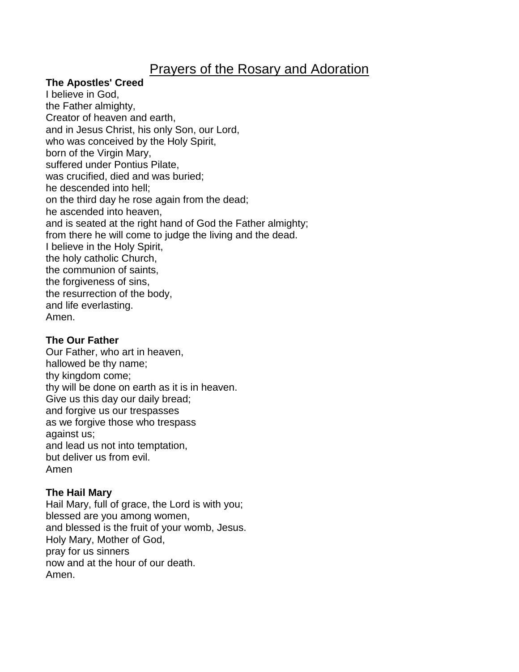# Prayers of the Rosary and Adoration

## **The Apostles' Creed**

I believe in God, the Father almighty, Creator of heaven and earth, and in Jesus Christ, his only Son, our Lord, who was conceived by the Holy Spirit, born of the Virgin Mary, suffered under Pontius Pilate, was crucified, died and was buried; he descended into hell; on the third day he rose again from the dead; he ascended into heaven, and is seated at the right hand of God the Father almighty; from there he will come to judge the living and the dead. I believe in the Holy Spirit, the holy catholic Church, the communion of saints, the forgiveness of sins, the resurrection of the body, and life everlasting. Amen.

## **The Our Father**

Our Father, who art in heaven, hallowed be thy name; thy kingdom come; thy will be done on earth as it is in heaven. Give us this day our daily bread; and forgive us our trespasses as we forgive those who trespass against us; and lead us not into temptation, but deliver us from evil. Amen

## **The Hail Mary**

Hail Mary, full of grace, the Lord is with you; blessed are you among women, and blessed is the fruit of your womb, Jesus. Holy Mary, Mother of God, pray for us sinners now and at the hour of our death. Amen.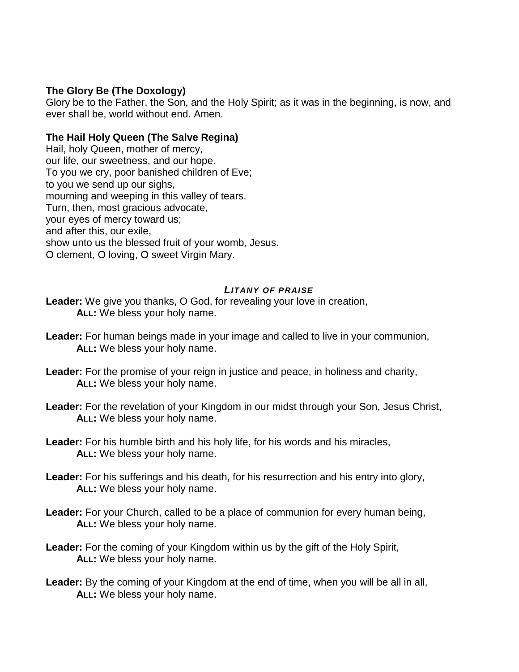# **The Glory Be (The Doxology)**

Glory be to the Father, the Son, and the Holy Spirit; as it was in the beginning, is now, and ever shall be, world without end. Amen.

# **The Hail Holy Queen (The Salve Regina)**

Hail, holy Queen, mother of mercy, our life, our sweetness, and our hope. To you we cry, poor banished children of Eve; to you we send up our sighs, mourning and weeping in this valley of tears. Turn, then, most gracious advocate, your eyes of mercy toward us; and after this, our exile, show unto us the blessed fruit of your womb, Jesus. O clement, O loving, O sweet Virgin Mary.

## *LITANY OF PRAISE*

**Leader:** We give you thanks, O God, for revealing your love in creation, **ALL:** We bless your holy name.

- **Leader:** For human beings made in your image and called to live in your communion, **ALL:** We bless your holy name.
- **Leader:** For the promise of your reign in justice and peace, in holiness and charity, **ALL:** We bless your holy name.
- Leader: For the revelation of your Kingdom in our midst through your Son, Jesus Christ, **ALL:** We bless your holy name.
- **Leader:** For his humble birth and his holy life, for his words and his miracles, **ALL:** We bless your holy name.
- **Leader:** For his sufferings and his death, for his resurrection and his entry into glory, **ALL:** We bless your holy name.
- **Leader:** For your Church, called to be a place of communion for every human being, **ALL:** We bless your holy name.
- Leader: For the coming of your Kingdom within us by the gift of the Holy Spirit, **ALL:** We bless your holy name.
- **Leader:** By the coming of your Kingdom at the end of time, when you will be all in all, **ALL:** We bless your holy name.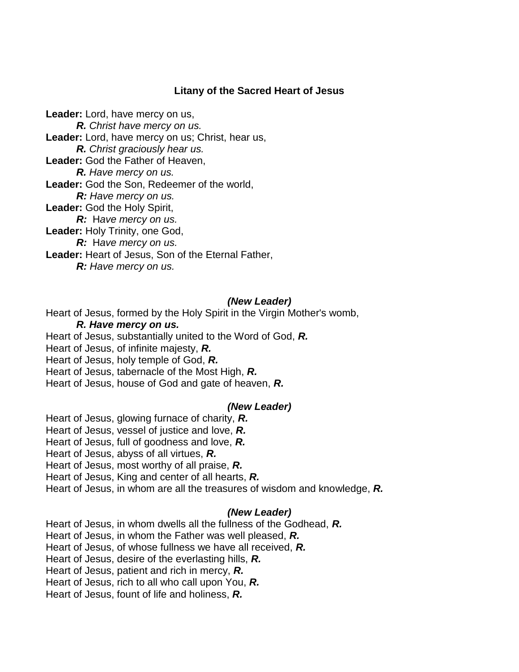# **Litany of the Sacred Heart of Jesus**

**Leader:** Lord, have mercy on us, *R. Christ have mercy on us.* **Leader:** Lord, have mercy on us; Christ, hear us, *R. Christ graciously hear us.* **Leader:** God the Father of Heaven, *R. Have mercy on us.* **Leader:** God the Son, Redeemer of the world, *R: Have mercy on us.* **Leader:** God the Holy Spirit, *R:* Have mercy on us. **Leader:** Holy Trinity, one God, *R:* H*ave mercy on us.* **Leader:** Heart of Jesus, Son of the Eternal Father, *R: Have mercy on us.*

## *(New Leader)*

Heart of Jesus, formed by the Holy Spirit in the Virgin Mother's womb,

#### *R. Have mercy on us.*

Heart of Jesus, substantially united to the Word of God, *R.*

Heart of Jesus, of infinite majesty, *R.*

Heart of Jesus, holy temple of God, *R.* 

Heart of Jesus, tabernacle of the Most High, *R.*

Heart of Jesus, house of God and gate of heaven, *R.*

#### *(New Leader)*

Heart of Jesus, glowing furnace of charity, *R.*

Heart of Jesus, vessel of justice and love, *R.*

Heart of Jesus, full of goodness and love, *R.*

Heart of Jesus, abyss of all virtues, *R.*

Heart of Jesus, most worthy of all praise, *R.*

Heart of Jesus, King and center of all hearts, *R.*

Heart of Jesus, in whom are all the treasures of wisdom and knowledge, *R.*

#### *(New Leader)*

Heart of Jesus, in whom dwells all the fullness of the Godhead, *R.*

Heart of Jesus, in whom the Father was well pleased, *R.*

Heart of Jesus, of whose fullness we have all received, *R.*

Heart of Jesus, desire of the everlasting hills, *R.*

Heart of Jesus, patient and rich in mercy, *R.*

Heart of Jesus, rich to all who call upon You, *R.*

Heart of Jesus, fount of life and holiness, *R.*